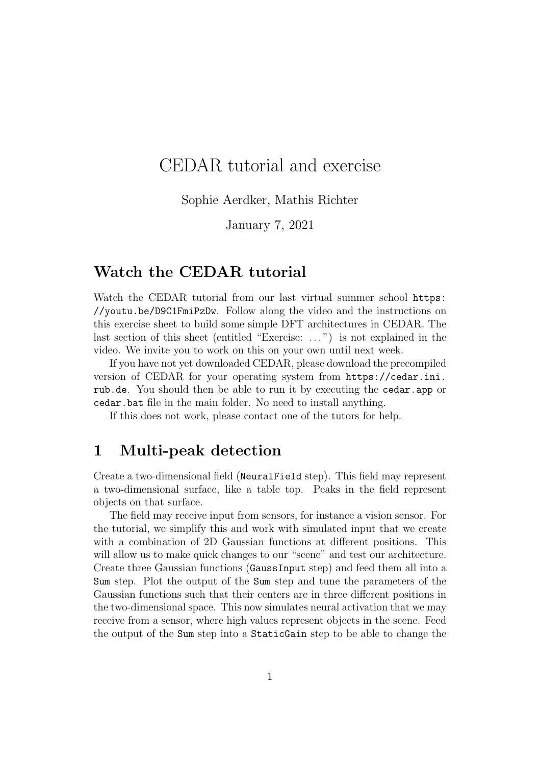# CEDAR tutorial and exercise

Sophie Aerdker, Mathis Richter

January 7, 2021

#### Watch the CEDAR tutorial

Watch the CEDAR tutorial from our last virtual summer school https: //youtu.be/D9C1FmiPzDw. Follow along the video and the instructions on this exercise sheet to build some simple DFT architectures in CEDAR. The last section of this sheet (entitled "Exercise: . . . ") is not explained in the video. We invite you to work on this on your own until next week.

If you have not yet downloaded CEDAR, please download the precompiled version of CEDAR for your operating system from https://cedar.ini. rub.de. You should then be able to run it by executing the cedar.app or cedar.bat file in the main folder. No need to install anything.

If this does not work, please contact one of the tutors for help.

### 1 Multi-peak detection

Create a two-dimensional field (NeuralField step). This field may represent a two-dimensional surface, like a table top. Peaks in the field represent objects on that surface.

The field may receive input from sensors, for instance a vision sensor. For the tutorial, we simplify this and work with simulated input that we create with a combination of 2D Gaussian functions at different positions. This will allow us to make quick changes to our "scene" and test our architecture. Create three Gaussian functions (GaussInput step) and feed them all into a Sum step. Plot the output of the Sum step and tune the parameters of the Gaussian functions such that their centers are in three different positions in the two-dimensional space. This now simulates neural activation that we may receive from a sensor, where high values represent objects in the scene. Feed the output of the Sum step into a StaticGain step to be able to change the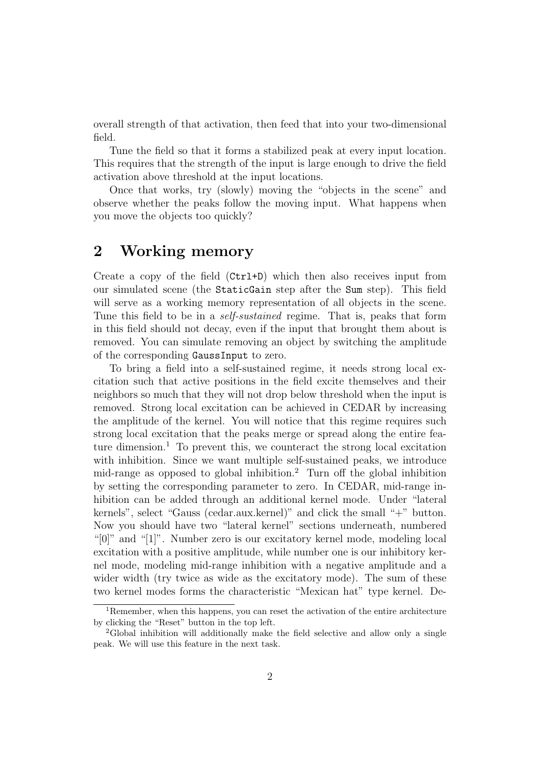overall strength of that activation, then feed that into your two-dimensional field.

Tune the field so that it forms a stabilized peak at every input location. This requires that the strength of the input is large enough to drive the field activation above threshold at the input locations.

Once that works, try (slowly) moving the "objects in the scene" and observe whether the peaks follow the moving input. What happens when you move the objects too quickly?

### 2 Working memory

Create a copy of the field (Ctrl+D) which then also receives input from our simulated scene (the StaticGain step after the Sum step). This field will serve as a working memory representation of all objects in the scene. Tune this field to be in a *self-sustained* regime. That is, peaks that form in this field should not decay, even if the input that brought them about is removed. You can simulate removing an object by switching the amplitude of the corresponding GaussInput to zero.

To bring a field into a self-sustained regime, it needs strong local excitation such that active positions in the field excite themselves and their neighbors so much that they will not drop below threshold when the input is removed. Strong local excitation can be achieved in CEDAR by increasing the amplitude of the kernel. You will notice that this regime requires such strong local excitation that the peaks merge or spread along the entire feature dimension.<sup>1</sup> To prevent this, we counteract the strong local excitation with inhibition. Since we want multiple self-sustained peaks, we introduce mid-range as opposed to global inhibition.<sup>2</sup> Turn off the global inhibition by setting the corresponding parameter to zero. In CEDAR, mid-range inhibition can be added through an additional kernel mode. Under "lateral kernels", select "Gauss (cedar.aux.kernel)" and click the small "+" button. Now you should have two "lateral kernel" sections underneath, numbered "[0]" and "[1]". Number zero is our excitatory kernel mode, modeling local excitation with a positive amplitude, while number one is our inhibitory kernel mode, modeling mid-range inhibition with a negative amplitude and a wider width (try twice as wide as the excitatory mode). The sum of these two kernel modes forms the characteristic "Mexican hat" type kernel. De-

<sup>&</sup>lt;sup>1</sup>Remember, when this happens, you can reset the activation of the entire architecture by clicking the "Reset" button in the top left.

<sup>2</sup>Global inhibition will additionally make the field selective and allow only a single peak. We will use this feature in the next task.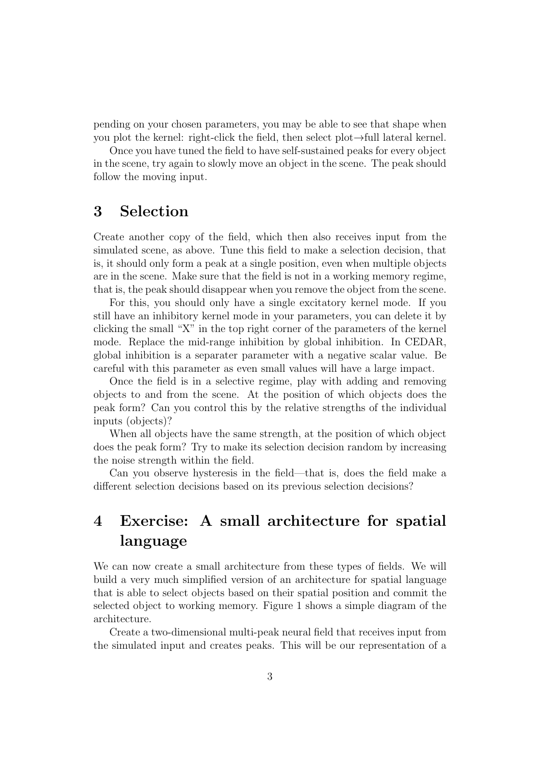pending on your chosen parameters, you may be able to see that shape when you plot the kernel: right-click the field, then select plot→full lateral kernel.

Once you have tuned the field to have self-sustained peaks for every object in the scene, try again to slowly move an object in the scene. The peak should follow the moving input.

## 3 Selection

Create another copy of the field, which then also receives input from the simulated scene, as above. Tune this field to make a selection decision, that is, it should only form a peak at a single position, even when multiple objects are in the scene. Make sure that the field is not in a working memory regime, that is, the peak should disappear when you remove the object from the scene.

For this, you should only have a single excitatory kernel mode. If you still have an inhibitory kernel mode in your parameters, you can delete it by clicking the small "X" in the top right corner of the parameters of the kernel mode. Replace the mid-range inhibition by global inhibition. In CEDAR, global inhibition is a separater parameter with a negative scalar value. Be careful with this parameter as even small values will have a large impact.

Once the field is in a selective regime, play with adding and removing objects to and from the scene. At the position of which objects does the peak form? Can you control this by the relative strengths of the individual inputs (objects)?

When all objects have the same strength, at the position of which object does the peak form? Try to make its selection decision random by increasing the noise strength within the field.

Can you observe hysteresis in the field—that is, does the field make a different selection decisions based on its previous selection decisions?

## 4 Exercise: A small architecture for spatial language

We can now create a small architecture from these types of fields. We will build a very much simplified version of an architecture for spatial language that is able to select objects based on their spatial position and commit the selected object to working memory. Figure 1 shows a simple diagram of the architecture.

Create a two-dimensional multi-peak neural field that receives input from the simulated input and creates peaks. This will be our representation of a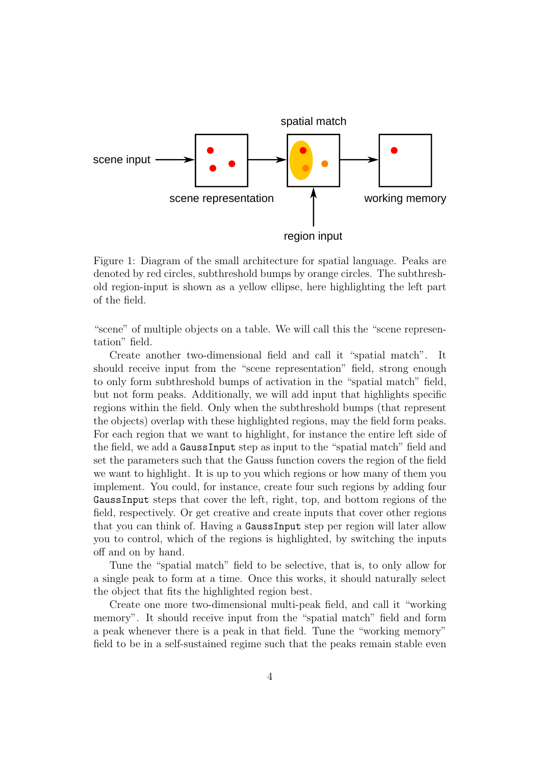

Figure 1: Diagram of the small architecture for spatial language. Peaks are denoted by red circles, subthreshold bumps by orange circles. The subthreshold region-input is shown as a yellow ellipse, here highlighting the left part of the field.

"scene" of multiple objects on a table. We will call this the "scene representation" field.

Create another two-dimensional field and call it "spatial match". It should receive input from the "scene representation" field, strong enough to only form subthreshold bumps of activation in the "spatial match" field, but not form peaks. Additionally, we will add input that highlights specific regions within the field. Only when the subthreshold bumps (that represent the objects) overlap with these highlighted regions, may the field form peaks. For each region that we want to highlight, for instance the entire left side of the field, we add a GaussInput step as input to the "spatial match" field and set the parameters such that the Gauss function covers the region of the field we want to highlight. It is up to you which regions or how many of them you implement. You could, for instance, create four such regions by adding four GaussInput steps that cover the left, right, top, and bottom regions of the field, respectively. Or get creative and create inputs that cover other regions that you can think of. Having a GaussInput step per region will later allow you to control, which of the regions is highlighted, by switching the inputs off and on by hand.

Tune the "spatial match" field to be selective, that is, to only allow for a single peak to form at a time. Once this works, it should naturally select the object that fits the highlighted region best.

Create one more two-dimensional multi-peak field, and call it "working memory". It should receive input from the "spatial match" field and form a peak whenever there is a peak in that field. Tune the "working memory" field to be in a self-sustained regime such that the peaks remain stable even